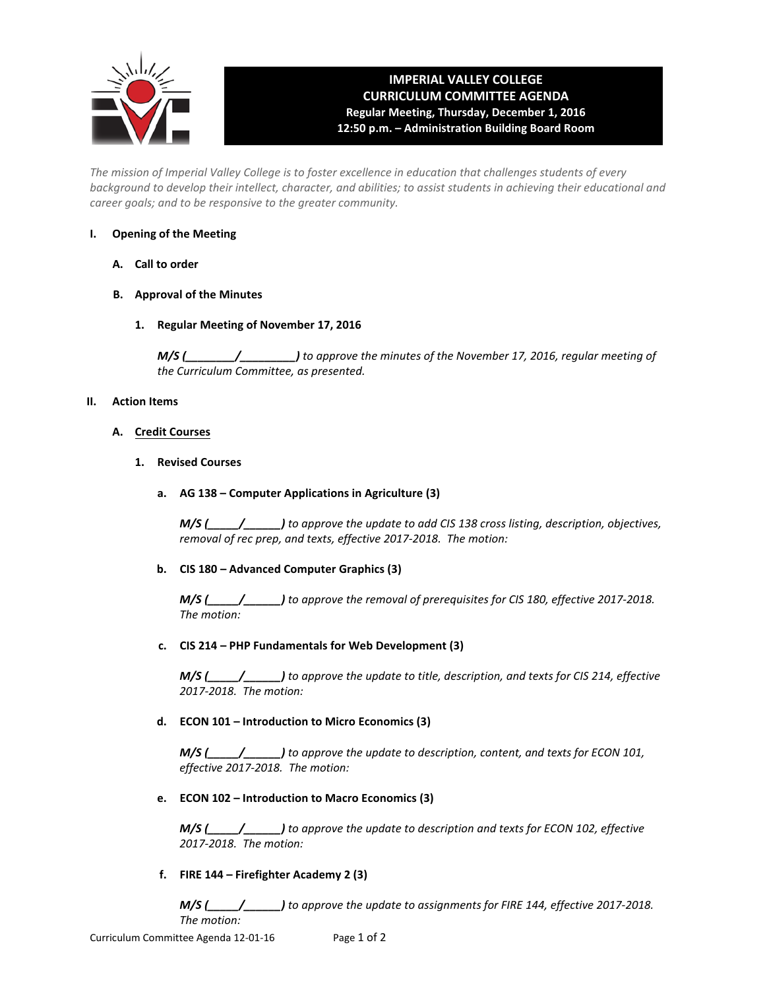

# **IMPERIAL VALLEY COLLEGE CURRICULUM COMMITTEE AGENDA Regular Meeting, Thursday, December 1, 2016 12:50 p.m. – Administration Building Board Room**

*The mission of Imperial Valley College is to foster excellence in education that challenges students of every background to develop their intellect, character, and abilities; to assist students in achieving their educational and career goals; and to be responsive to the greater community.*

# **I. Opening of the Meeting**

- **A. Call to order**
- **B. Approval of the Minutes**
	- **1. Regular Meeting of November 17, 2016**

*M/S (\_\_\_\_\_\_\_\_/\_\_\_\_\_\_\_\_\_) to approve the minutes of the November 17, 2016, regular meeting of the Curriculum Committee, as presented.*

# **II. Action Items**

# **A. Credit Courses**

**1. Revised Courses**

# **a. AG 138 – Computer Applications in Agriculture (3)**

*M/S (\_\_\_\_\_/\_\_\_\_\_\_) to approve the update to add CIS 138 cross listing, description, objectives, removal of rec prep, and texts, effective 2017-2018. The motion:*

# **b. CIS 180 – Advanced Computer Graphics (3)**

*M/S (\_\_\_\_\_/\_\_\_\_\_\_) to approve the removal of prerequisites for CIS 180, effective 2017-2018. The motion:*

# **c. CIS 214 – PHP Fundamentals for Web Development (3)**

*M/S (\_\_\_\_\_/\_\_\_\_\_\_) to approve the update to title, description, and texts for CIS 214, effective 2017-2018. The motion:*

# **d. ECON 101 – Introduction to Micro Economics (3)**

*M/S (\_\_\_\_\_/\_\_\_\_\_\_) to approve the update to description, content, and texts for ECON 101, effective 2017-2018. The motion:*

# **e. ECON 102 – Introduction to Macro Economics (3)**

*M/S (\_\_\_\_\_/\_\_\_\_\_\_) to approve the update to description and texts for ECON 102, effective 2017-2018. The motion:*

# **f. FIRE 144 – Firefighter Academy 2 (3)**

*M/S (\_\_\_\_\_/\_\_\_\_\_\_) to approve the update to assignments for FIRE 144, effective 2017-2018. The motion:*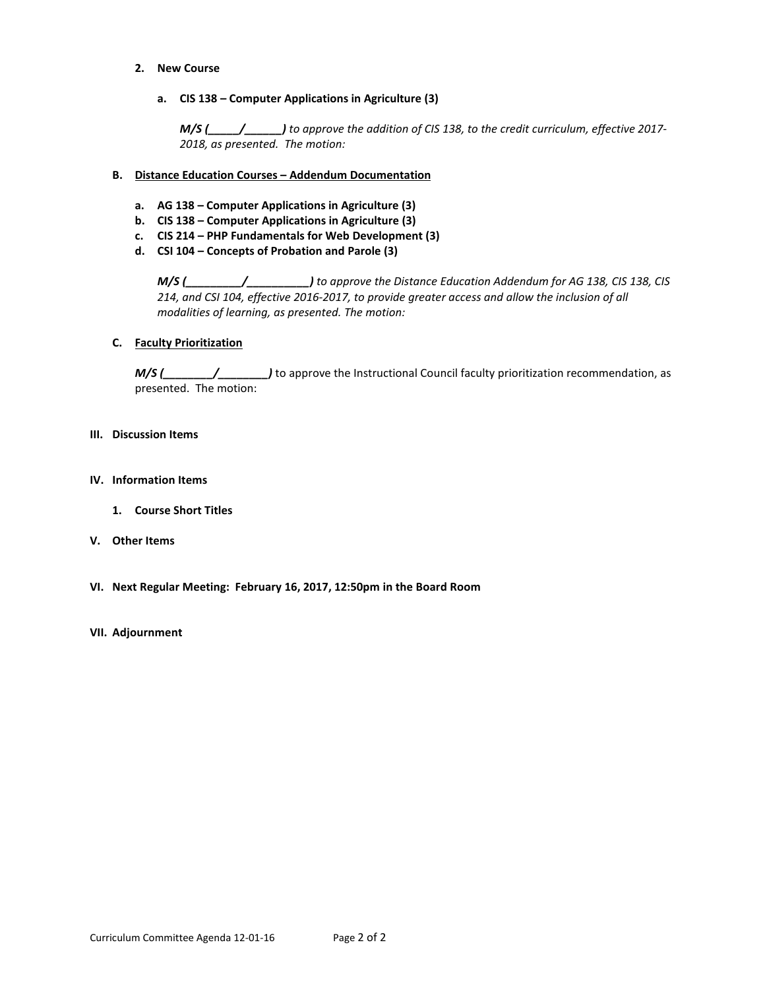- **2. New Course**
	- **a. CIS 138 Computer Applications in Agriculture (3)**

*M/S (\_\_\_\_\_/\_\_\_\_\_\_) to approve the addition of CIS 138, to the credit curriculum, effective 2017- 2018, as presented. The motion:*

- **B. Distance Education Courses Addendum Documentation**
	- **a. AG 138 Computer Applications in Agriculture (3)**
	- **b. CIS 138 Computer Applications in Agriculture (3)**
	- **c. CIS 214 PHP Fundamentals for Web Development (3)**
	- **d. CSI 104 Concepts of Probation and Parole (3)**

*M/S (\_\_\_\_\_\_\_\_\_/\_\_\_\_\_\_\_\_\_\_) to approve the Distance Education Addendum for AG 138, CIS 138, CIS 214, and CSI 104, effective 2016-2017, to provide greater access and allow the inclusion of all modalities of learning, as presented. The motion:*

## **C. Faculty Prioritization**

*M/S (\_\_\_\_\_\_\_\_/\_\_\_\_\_\_\_\_\_\_)* to approve the Instructional Council faculty prioritization recommendation, as presented. The motion:

## **III. Discussion Items**

- **IV. Information Items**
	- **1. Course Short Titles**
- **V. Other Items**
- **VI. Next Regular Meeting: February 16, 2017, 12:50pm in the Board Room**

## **VII. Adjournment**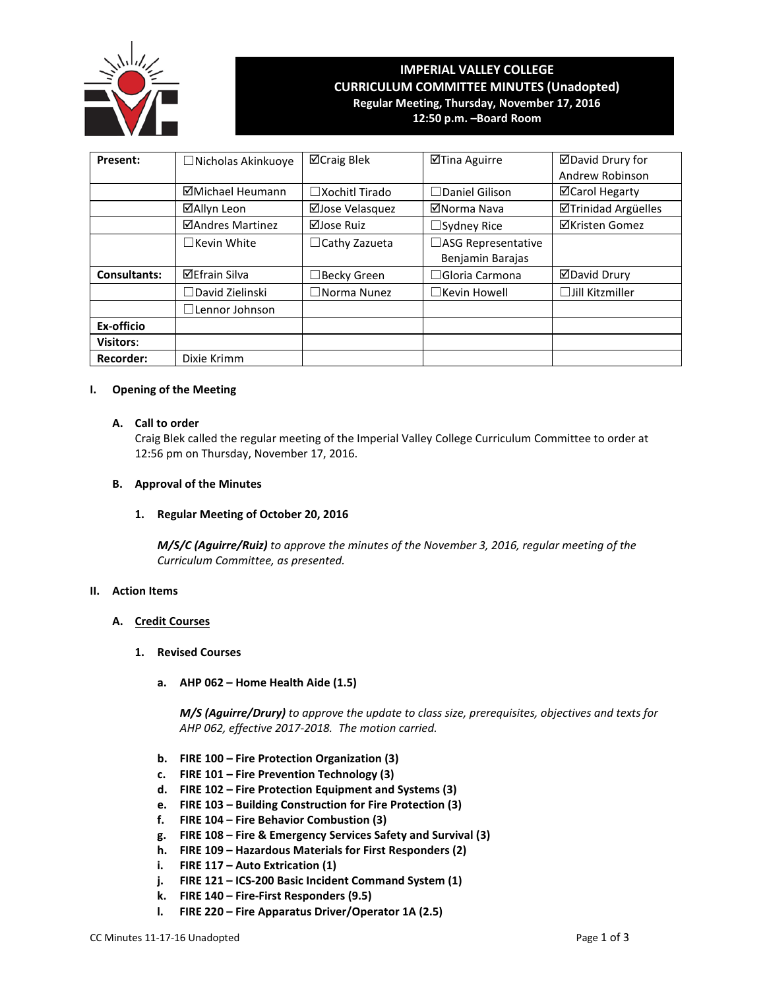

# **IMPERIAL VALLEY COLLEGE CURRICULUM COMMITTEE MINUTES (Unadopted) Regular Meeting, Thursday, November 17, 2016**

**12:50 p.m. –Board Room**

| Present:            | $\Box$ Nicholas Akinkuoye | ⊠Craig Blek           | ⊠Tina Aguirre             | ⊠David Drury for       |
|---------------------|---------------------------|-----------------------|---------------------------|------------------------|
|                     |                           |                       |                           | Andrew Robinson        |
|                     | ⊠Michael Heumann          | □Xochitl Tirado       | $\Box$ Daniel Gilison     | <b>⊠Carol Hegarty</b>  |
|                     | ⊠Allyn Leon               | ⊠Jose Velasquez       | ⊠Norma Nava               | ⊠Trinidad Argüelles    |
|                     | ⊠Andres Martinez          | ⊠Jose Ruiz            | $\Box$ Sydney Rice        | <b>⊠Kristen Gomez</b>  |
|                     | $\Box$ Kevin White        | $\Box$ Cathy Zazueta  | $\Box$ ASG Representative |                        |
|                     |                           |                       | Benjamin Barajas          |                        |
| <b>Consultants:</b> | <b>⊠Efrain Silva</b>      | $\Box$ Becky Green    | $\Box$ Gloria Carmona     | ⊠David Drury           |
|                     | $\Box$ David Zielinski    | $\square$ Norma Nunez | $\Box$ Kevin Howell       | $\Box$ Jill Kitzmiller |
|                     | $\Box$ Lennor Johnson     |                       |                           |                        |
| Ex-officio          |                           |                       |                           |                        |
| <b>Visitors:</b>    |                           |                       |                           |                        |
| <b>Recorder:</b>    | Dixie Krimm               |                       |                           |                        |

## **I. Opening of the Meeting**

## **A. Call to order**

Craig Blek called the regular meeting of the Imperial Valley College Curriculum Committee to order at 12:56 pm on Thursday, November 17, 2016.

#### **B. Approval of the Minutes**

## **1. Regular Meeting of October 20, 2016**

*M/S/C (Aguirre/Ruiz) to approve the minutes of the November 3, 2016, regular meeting of the Curriculum Committee, as presented.* 

## **II. Action Items**

## **A. Credit Courses**

#### **1. Revised Courses**

**a. AHP 062 – Home Health Aide (1.5)**

*M/S (Aguirre/Drury) to approve the update to class size, prerequisites, objectives and texts for AHP 062, effective 2017-2018. The motion carried.*

- **b. FIRE 100 – Fire Protection Organization (3)**
- **c. FIRE 101 – Fire Prevention Technology (3)**
- **d. FIRE 102 – Fire Protection Equipment and Systems (3)**
- **e. FIRE 103 – Building Construction for Fire Protection (3)**
- **f. FIRE 104 – Fire Behavior Combustion (3)**
- **g. FIRE 108 – Fire & Emergency Services Safety and Survival (3)**
- **h. FIRE 109 – Hazardous Materials for First Responders (2)**
- **i. FIRE 117 – Auto Extrication (1)**
- **j. FIRE 121 – ICS-200 Basic Incident Command System (1)**
- **k. FIRE 140 – Fire-First Responders (9.5)**
- **l. FIRE 220 – Fire Apparatus Driver/Operator 1A (2.5)**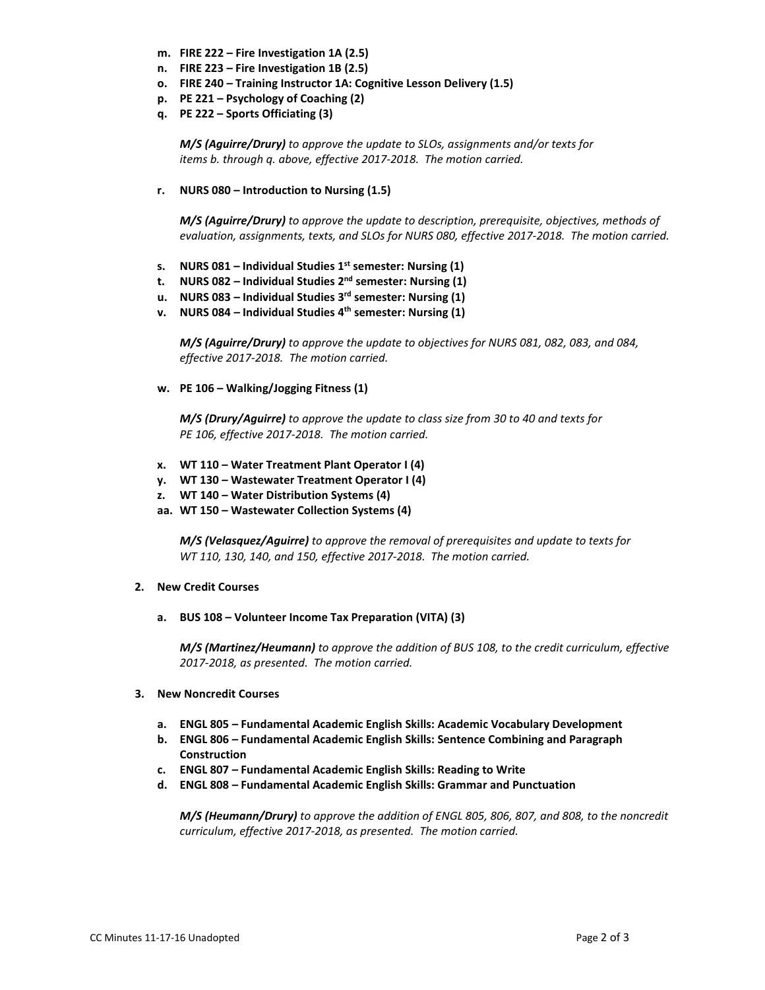- **m. FIRE 222 – Fire Investigation 1A (2.5)**
- **n. FIRE 223 – Fire Investigation 1B (2.5)**
- **o. FIRE 240 – Training Instructor 1A: Cognitive Lesson Delivery (1.5)**
- **p. PE 221 – Psychology of Coaching (2)**
- **q. PE 222 – Sports Officiating (3)**

*M/S (Aguirre/Drury) to approve the update to SLOs, assignments and/or texts for items b. through q. above, effective 2017-2018. The motion carried.*

**r. NURS 080 – Introduction to Nursing (1.5)**

*M/S (Aguirre/Drury) to approve the update to description, prerequisite, objectives, methods of evaluation, assignments, texts, and SLOs for NURS 080, effective 2017-2018. The motion carried.*

- **s. NURS 081 – Individual Studies 1st semester: Nursing (1)**
- **t. NURS 082 – Individual Studies 2nd semester: Nursing (1)**
- **u. NURS 083 – Individual Studies 3rd semester: Nursing (1)**
- **v. NURS 084 – Individual Studies 4th semester: Nursing (1)**

*M/S (Aguirre/Drury) to approve the update to objectives for NURS 081, 082, 083, and 084, effective 2017-2018. The motion carried.*

**w. PE 106 – Walking/Jogging Fitness (1)**

*M/S (Drury/Aguirre) to approve the update to class size from 30 to 40 and texts for PE 106, effective 2017-2018. The motion carried.*

- **x. WT 110 – Water Treatment Plant Operator I (4)**
- **y. WT 130 – Wastewater Treatment Operator I (4)**
- **z. WT 140 – Water Distribution Systems (4)**
- **aa. WT 150 – Wastewater Collection Systems (4)**

*M/S (Velasquez/Aguirre) to approve the removal of prerequisites and update to texts for WT 110, 130, 140, and 150, effective 2017-2018. The motion carried.*

## **2. New Credit Courses**

**a. BUS 108 – Volunteer Income Tax Preparation (VITA) (3)**

*M/S (Martinez/Heumann) to approve the addition of BUS 108, to the credit curriculum, effective 2017-2018, as presented. The motion carried.*

# **3. New Noncredit Courses**

- **a. ENGL 805 – Fundamental Academic English Skills: Academic Vocabulary Development**
- **b. ENGL 806 – Fundamental Academic English Skills: Sentence Combining and Paragraph Construction**
- **c. ENGL 807 – Fundamental Academic English Skills: Reading to Write**
- **d. ENGL 808 – Fundamental Academic English Skills: Grammar and Punctuation**

*M/S (Heumann/Drury) to approve the addition of ENGL 805, 806, 807, and 808, to the noncredit curriculum, effective 2017-2018, as presented. The motion carried.*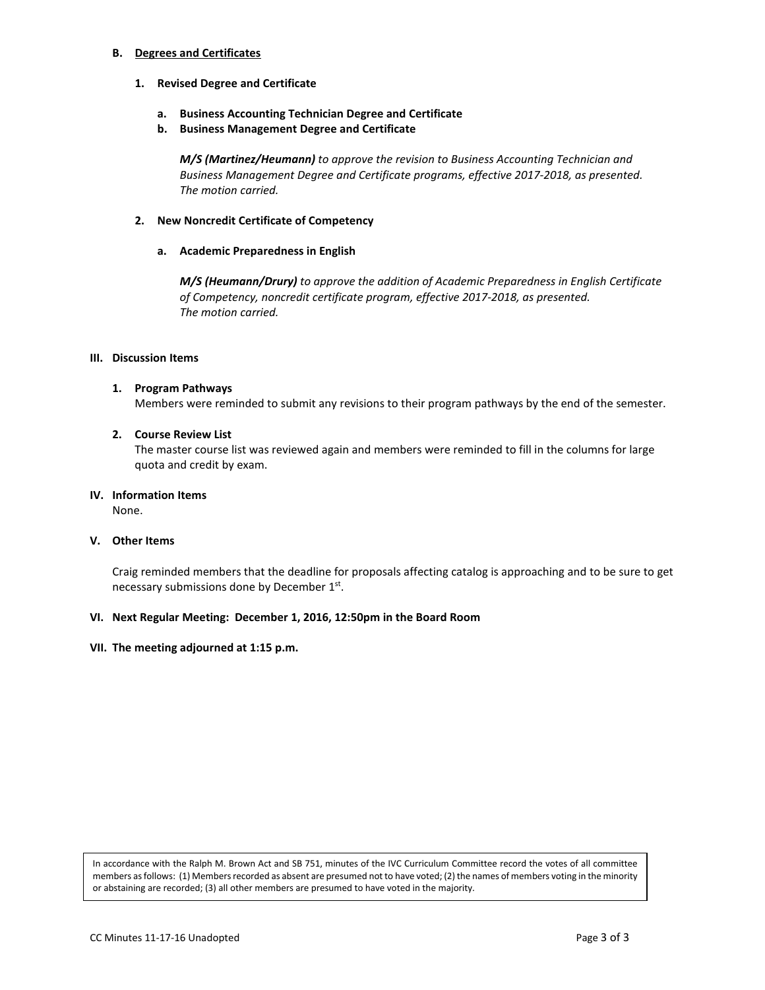## **B. Degrees and Certificates**

- **1. Revised Degree and Certificate**
	- **a. Business Accounting Technician Degree and Certificate**
	- **b. Business Management Degree and Certificate**

*M/S (Martinez/Heumann) to approve the revision to Business Accounting Technician and Business Management Degree and Certificate programs, effective 2017-2018, as presented. The motion carried.*

## **2. New Noncredit Certificate of Competency**

## **a. Academic Preparedness in English**

*M/S (Heumann/Drury) to approve the addition of Academic Preparedness in English Certificate of Competency, noncredit certificate program, effective 2017-2018, as presented. The motion carried.*

## **III. Discussion Items**

## **1. Program Pathways**

Members were reminded to submit any revisions to their program pathways by the end of the semester.

## **2. Course Review List**

The master course list was reviewed again and members were reminded to fill in the columns for large quota and credit by exam.

## **IV. Information Items**

None.

## **V. Other Items**

Craig reminded members that the deadline for proposals affecting catalog is approaching and to be sure to get necessary submissions done by December 1st.

## **VI. Next Regular Meeting: December 1, 2016, 12:50pm in the Board Room**

## **VII. The meeting adjourned at 1:15 p.m.**

In accordance with the Ralph M. Brown Act and SB 751, minutes of the IVC Curriculum Committee record the votes of all committee members as follows: (1) Members recorded as absent are presumed not to have voted; (2) the names of members voting in the minority or abstaining are recorded; (3) all other members are presumed to have voted in the majority.